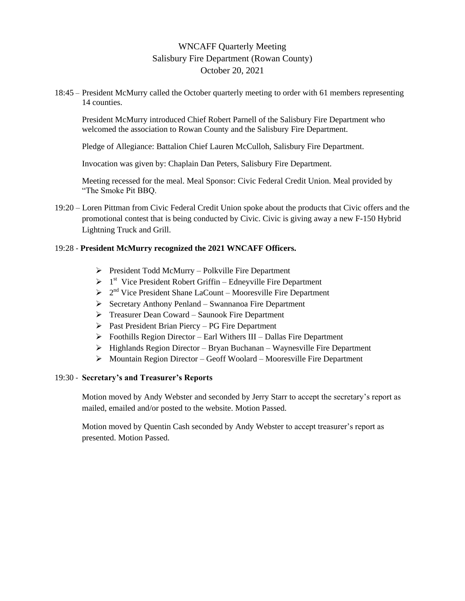# WNCAFF Quarterly Meeting Salisbury Fire Department (Rowan County) October 20, 2021

18:45 – President McMurry called the October quarterly meeting to order with 61 members representing 14 counties.

President McMurry introduced Chief Robert Parnell of the Salisbury Fire Department who welcomed the association to Rowan County and the Salisbury Fire Department.

Pledge of Allegiance: Battalion Chief Lauren McCulloh, Salisbury Fire Department.

Invocation was given by: Chaplain Dan Peters, Salisbury Fire Department.

Meeting recessed for the meal. Meal Sponsor: Civic Federal Credit Union. Meal provided by "The Smoke Pit BBQ.

19:20 – Loren Pittman from Civic Federal Credit Union spoke about the products that Civic offers and the promotional contest that is being conducted by Civic. Civic is giving away a new F-150 Hybrid Lightning Truck and Grill.

#### 19:28 - **President McMurry recognized the 2021 WNCAFF Officers.**

- $\triangleright$  President Todd McMurry Polkville Fire Department
- $\triangleright$  1<sup>st</sup> Vice President Robert Griffin Edneyville Fire Department
- $\geq 2^{nd}$  Vice President Shane LaCount Mooresville Fire Department
- $\triangleright$  Secretary Anthony Penland Swannanoa Fire Department
- Treasurer Dean Coward Saunook Fire Department
- $\triangleright$  Past President Brian Piercy PG Fire Department
- $\triangleright$  Foothills Region Director Earl Withers III Dallas Fire Department
- $\triangleright$  Highlands Region Director Bryan Buchanan Waynesville Fire Department
- $\triangleright$  Mountain Region Director Geoff Woolard Mooresville Fire Department

#### 19:30 - **Secretary's and Treasurer's Reports**

Motion moved by Andy Webster and seconded by Jerry Starr to accept the secretary's report as mailed, emailed and/or posted to the website. Motion Passed.

Motion moved by Quentin Cash seconded by Andy Webster to accept treasurer's report as presented. Motion Passed.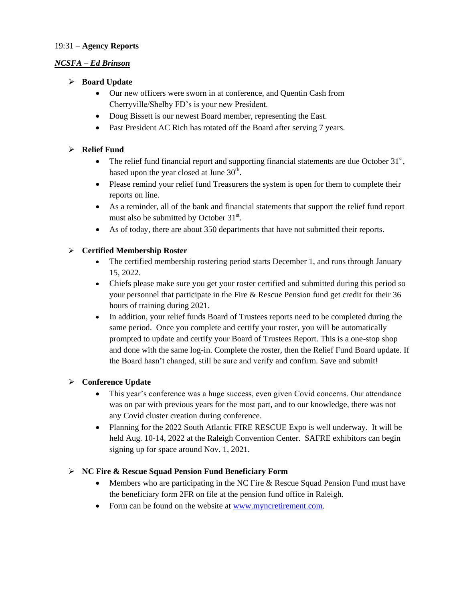#### 19:31 – **Agency Reports**

#### *NCSFA – Ed Brinson*

- **Board Update**
	- Our new officers were sworn in at conference, and Quentin Cash from Cherryville/Shelby FD's is your new President.
	- Doug Bissett is our newest Board member, representing the East.
	- Past President AC Rich has rotated off the Board after serving 7 years.

## **Relief Fund**

- The relief fund financial report and supporting financial statements are due October  $31<sup>st</sup>$ , based upon the year closed at June  $30<sup>th</sup>$ .
- Please remind your relief fund Treasurers the system is open for them to complete their reports on line.
- As a reminder, all of the bank and financial statements that support the relief fund report must also be submitted by October 31<sup>st</sup>.
- As of today, there are about 350 departments that have not submitted their reports.

#### **Certified Membership Roster**

- The certified membership rostering period starts December 1, and runs through January 15, 2022.
- Chiefs please make sure you get your roster certified and submitted during this period so your personnel that participate in the Fire & Rescue Pension fund get credit for their 36 hours of training during 2021.
- In addition, your relief funds Board of Trustees reports need to be completed during the same period. Once you complete and certify your roster, you will be automatically prompted to update and certify your Board of Trustees Report. This is a one-stop shop and done with the same log-in. Complete the roster, then the Relief Fund Board update. If the Board hasn't changed, still be sure and verify and confirm. Save and submit!

#### **Conference Update**

- This year's conference was a huge success, even given Covid concerns. Our attendance was on par with previous years for the most part, and to our knowledge, there was not any Covid cluster creation during conference.
- Planning for the 2022 South Atlantic FIRE RESCUE Expo is well underway. It will be held Aug. 10-14, 2022 at the Raleigh Convention Center. SAFRE exhibitors can begin signing up for space around Nov. 1, 2021.

#### **NC Fire & Rescue Squad Pension Fund Beneficiary Form**

- Members who are participating in the NC Fire & Rescue Squad Pension Fund must have the beneficiary form 2FR on file at the pension fund office in Raleigh.
- Form can be found on the website at [www.myncretirement.com.](http://www.myncretirement.com/)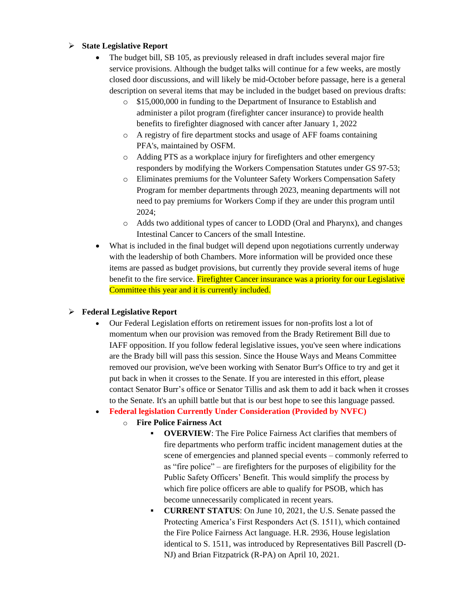## **State Legislative Report**

- The budget bill, SB 105, as previously released in draft includes several major fire service provisions. Although the budget talks will continue for a few weeks, are mostly closed door discussions, and will likely be mid-October before passage, here is a general description on several items that may be included in the budget based on previous drafts:
	- \$15,000,000 in funding to the Department of Insurance to Establish and administer a pilot program (firefighter cancer insurance) to provide health benefits to firefighter diagnosed with cancer after January 1, 2022
	- o A registry of fire department stocks and usage of AFF foams containing PFA's, maintained by OSFM.
	- o Adding PTS as a workplace injury for firefighters and other emergency responders by modifying the Workers Compensation Statutes under GS 97-53;
	- o Eliminates premiums for the Volunteer Safety Workers Compensation Safety Program for member departments through 2023, meaning departments will not need to pay premiums for Workers Comp if they are under this program until 2024;
	- o Adds two additional types of cancer to LODD (Oral and Pharynx), and changes Intestinal Cancer to Cancers of the small Intestine.
- What is included in the final budget will depend upon negotiations currently underway with the leadership of both Chambers. More information will be provided once these items are passed as budget provisions, but currently they provide several items of huge benefit to the fire service. Firefighter Cancer insurance was a priority for our Legislative Committee this year and it is currently included.

## **Federal Legislative Report**

 Our Federal Legislation efforts on retirement issues for non-profits lost a lot of momentum when our provision was removed from the Brady Retirement Bill due to IAFF opposition. If you follow federal legislative issues, you've seen where indications are the Brady bill will pass this session. Since the House Ways and Means Committee removed our provision, we've been working with Senator Burr's Office to try and get it put back in when it crosses to the Senate. If you are interested in this effort, please contact Senator Burr's office or Senator Tillis and ask them to add it back when it crosses to the Senate. It's an uphill battle but that is our best hope to see this language passed.

## **Federal legislation Currently Under Consideration (Provided by NVFC)**

- o **Fire Police Fairness Act**
	- **OVERVIEW**: The Fire Police Fairness Act clarifies that members of fire departments who perform traffic incident management duties at the scene of emergencies and planned special events – commonly referred to as "fire police" – are firefighters for the purposes of eligibility for the Public Safety Officers' Benefit. This would simplify the process by which fire police officers are able to qualify for PSOB, which has become unnecessarily complicated in recent years.
	- **CURRENT STATUS:** On June 10, 2021, the U.S. Senate passed the Protecting America's First Responders Act (S. 1511), which contained the Fire Police Fairness Act language. H.R. 2936, House legislation identical to S. 1511, was introduced by Representatives Bill Pascrell (D-NJ) and Brian Fitzpatrick (R-PA) on April 10, 2021.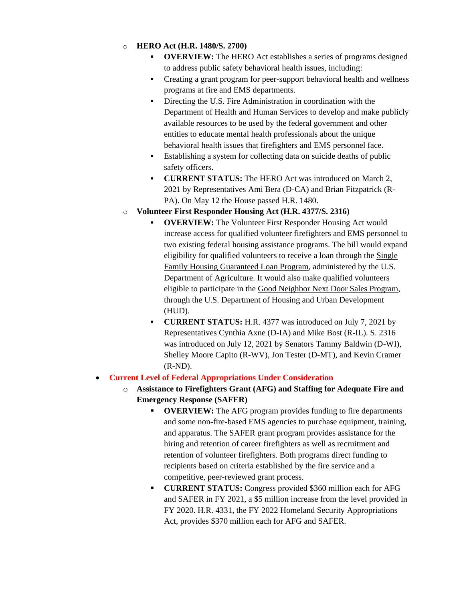## o **HERO Act (H.R. 1480/S. 2700)**

- **OVERVIEW:** The HERO Act establishes a series of programs designed to address public safety behavioral health issues, including:
- Creating a grant program for peer-support behavioral health and wellness programs at fire and EMS departments.
- Directing the U.S. Fire Administration in coordination with the Department of Health and Human Services to develop and make publicly available resources to be used by the federal government and other entities to educate mental health professionals about the unique behavioral health issues that firefighters and EMS personnel face.
- Establishing a system for collecting data on suicide deaths of public safety officers.
- **CURRENT STATUS:** The HERO Act was introduced on March 2, 2021 by Representatives Ami Bera (D-CA) and Brian Fitzpatrick (R-PA). On May 12 the House passed H.R. 1480.

## o **Volunteer First Responder Housing Act (H.R. 4377/S. 2316)**

- **OVERVIEW:** The Volunteer First Responder Housing Act would increase access for qualified volunteer firefighters and EMS personnel to two existing federal housing assistance programs. The bill would expand eligibility for qualified volunteers to receive a loan through the Single Family Housing Guaranteed Loan Program, administered by the U.S. Department of Agriculture. It would also make qualified volunteers eligible to participate in the Good Neighbor Next Door Sales Program, through the U.S. Department of Housing and Urban Development (HUD).
- **CURRENT STATUS:** H.R. 4377 was introduced on July 7, 2021 by Representatives Cynthia Axne (D-IA) and Mike Bost (R-IL). S. 2316 was introduced on July 12, 2021 by Senators Tammy Baldwin (D-WI), Shelley Moore Capito (R-WV), Jon Tester (D-MT), and Kevin Cramer (R-ND).

## **Current Level of Federal Appropriations Under Consideration**

- o **Assistance to Firefighters Grant (AFG) and Staffing for Adequate Fire and Emergency Response (SAFER)**
	- **OVERVIEW:** The AFG program provides funding to fire departments and some non-fire-based EMS agencies to purchase equipment, training, and apparatus. The SAFER grant program provides assistance for the hiring and retention of career firefighters as well as recruitment and retention of volunteer firefighters. Both programs direct funding to recipients based on criteria established by the fire service and a competitive, peer-reviewed grant process.
	- **CURRENT STATUS:** Congress provided \$360 million each for AFG and SAFER in FY 2021, a \$5 million increase from the level provided in FY 2020. H.R. 4331, the FY 2022 Homeland Security Appropriations Act, provides \$370 million each for AFG and SAFER.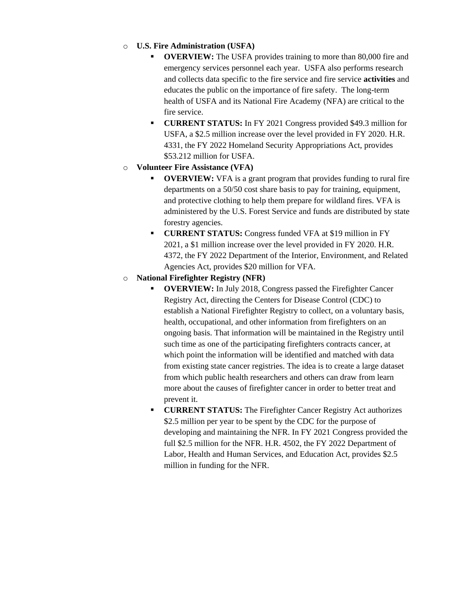## o **U.S. Fire Administration (USFA)**

- **OVERVIEW:** The USFA provides training to more than 80,000 fire and emergency services personnel each year. USFA also performs research and collects data specific to the fire service and fire service **activities** and educates the public on the importance of fire safety. The long-term health of USFA and its National Fire Academy (NFA) are critical to the fire service.
- **CURRENT STATUS:** In FY 2021 Congress provided \$49.3 million for USFA, a \$2.5 million increase over the level provided in FY 2020. H.R. 4331, the FY 2022 Homeland Security Appropriations Act, provides \$53.212 million for USFA.
- o **Volunteer Fire Assistance (VFA)** 
	- **OVERVIEW:** VFA is a grant program that provides funding to rural fire departments on a 50/50 cost share basis to pay for training, equipment, and protective clothing to help them prepare for wildland fires. VFA is administered by the U.S. Forest Service and funds are distributed by state forestry agencies.
	- **CURRENT STATUS:** Congress funded VFA at \$19 million in FY 2021, a \$1 million increase over the level provided in FY 2020. H.R. 4372, the FY 2022 Department of the Interior, Environment, and Related Agencies Act, provides \$20 million for VFA.

## o **National Firefighter Registry (NFR)**

- **OVERVIEW:** In July 2018, Congress passed the Firefighter Cancer Registry Act, directing the Centers for Disease Control (CDC) to establish a National Firefighter Registry to collect, on a voluntary basis, health, occupational, and other information from firefighters on an ongoing basis. That information will be maintained in the Registry until such time as one of the participating firefighters contracts cancer, at which point the information will be identified and matched with data from existing state cancer registries. The idea is to create a large dataset from which public health researchers and others can draw from learn more about the causes of firefighter cancer in order to better treat and prevent it.
- **CURRENT STATUS:** The Firefighter Cancer Registry Act authorizes \$2.5 million per year to be spent by the CDC for the purpose of developing and maintaining the NFR. In FY 2021 Congress provided the full \$2.5 million for the NFR. H.R. 4502, the FY 2022 Department of Labor, Health and Human Services, and Education Act, provides \$2.5 million in funding for the NFR.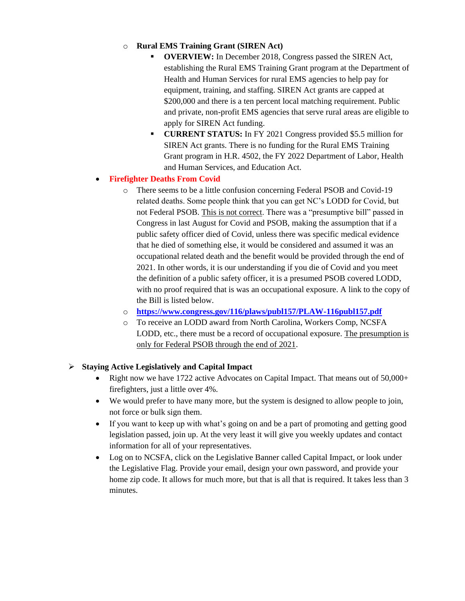## o **Rural EMS Training Grant (SIREN Act)**

- **OVERVIEW:** In December 2018, Congress passed the SIREN Act, establishing the Rural EMS Training Grant program at the Department of Health and Human Services for rural EMS agencies to help pay for equipment, training, and staffing. SIREN Act grants are capped at \$200,000 and there is a ten percent local matching requirement. Public and private, non-profit EMS agencies that serve rural areas are eligible to apply for SIREN Act funding.
- **CURRENT STATUS:** In FY 2021 Congress provided \$5.5 million for SIREN Act grants. There is no funding for the Rural EMS Training Grant program in H.R. 4502, the FY 2022 Department of Labor, Health and Human Services, and Education Act.

## **Firefighter Deaths From Covid**

- o There seems to be a little confusion concerning Federal PSOB and Covid-19 related deaths. Some people think that you can get NC's LODD for Covid, but not Federal PSOB. This is not correct. There was a "presumptive bill" passed in Congress in last August for Covid and PSOB, making the assumption that if a public safety officer died of Covid, unless there was specific medical evidence that he died of something else, it would be considered and assumed it was an occupational related death and the benefit would be provided through the end of 2021. In other words, it is our understanding if you die of Covid and you meet the definition of a public safety officer, it is a presumed PSOB covered LODD, with no proof required that is was an occupational exposure. A link to the copy of the Bill is listed below.
- o **<https://www.congress.gov/116/plaws/publ157/PLAW-116publ157.pdf>**
- o To receive an LODD award from North Carolina, Workers Comp, NCSFA LODD, etc., there must be a record of occupational exposure. The presumption is only for Federal PSOB through the end of 2021.

## **Staying Active Legislatively and Capital Impact**

- Right now we have 1722 active Advocates on Capital Impact. That means out of  $50,000+$ firefighters, just a little over 4%.
- We would prefer to have many more, but the system is designed to allow people to join, not force or bulk sign them.
- If you want to keep up with what's going on and be a part of promoting and getting good legislation passed, join up. At the very least it will give you weekly updates and contact information for all of your representatives.
- Log on to NCSFA, click on the Legislative Banner called Capital Impact, or look under the Legislative Flag. Provide your email, design your own password, and provide your home zip code. It allows for much more, but that is all that is required. It takes less than 3 minutes.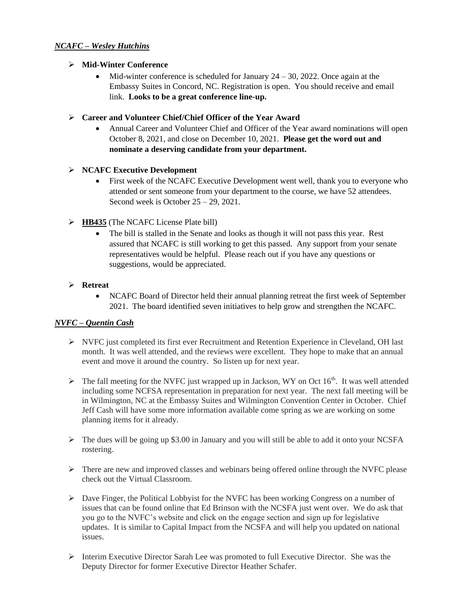## *NCAFC – Wesley Hutchins*

#### **Mid-Winter Conference**

 $\bullet$  Mid-winter conference is scheduled for January 24 – 30, 2022. Once again at the Embassy Suites in Concord, NC. Registration is open. You should receive and email link. **Looks to be a great conference line-up.**

#### **Career and Volunteer Chief/Chief Officer of the Year Award**

 Annual Career and Volunteer Chief and Officer of the Year award nominations will open October 8, 2021, and close on December 10, 2021. **Please get the word out and nominate a deserving candidate from your department.**

## **NCAFC Executive Development**

- First week of the NCAFC Executive Development went well, thank you to everyone who attended or sent someone from your department to the course, we have 52 attendees. Second week is October 25 – 29, 2021.
- **EXCORDED** HB435 (The NCAFC License Plate bill)
	- The bill is stalled in the Senate and looks as though it will not pass this year. Rest assured that NCAFC is still working to get this passed. Any support from your senate representatives would be helpful. Please reach out if you have any questions or suggestions, would be appreciated.

#### **Retreat**

• NCAFC Board of Director held their annual planning retreat the first week of September 2021. The board identified seven initiatives to help grow and strengthen the NCAFC.

## *NVFC – Quentin Cash*

- $\triangleright$  NVFC just completed its first ever Recruitment and Retention Experience in Cleveland, OH last month. It was well attended, and the reviews were excellent. They hope to make that an annual event and move it around the country. So listen up for next year.
- $\triangleright$  The fall meeting for the NVFC just wrapped up in Jackson, WY on Oct 16<sup>th</sup>. It was well attended including some NCFSA representation in preparation for next year. The next fall meeting will be in Wilmington, NC at the Embassy Suites and Wilmington Convention Center in October. Chief Jeff Cash will have some more information available come spring as we are working on some planning items for it already.
- $\triangleright$  The dues will be going up \$3.00 in January and you will still be able to add it onto your NCSFA rostering.
- $\triangleright$  There are new and improved classes and webinars being offered online through the NVFC please check out the Virtual Classroom.
- $\triangleright$  Dave Finger, the Political Lobbyist for the NVFC has been working Congress on a number of issues that can be found online that Ed Brinson with the NCSFA just went over. We do ask that you go to the NVFC's website and click on the engage section and sign up for legislative updates. It is similar to Capital Impact from the NCSFA and will help you updated on national issues.
- $\triangleright$  Interim Executive Director Sarah Lee was promoted to full Executive Director. She was the Deputy Director for former Executive Director Heather Schafer.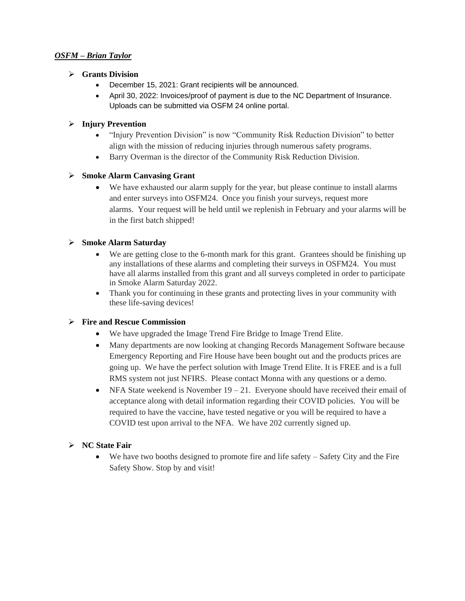#### *OSFM – Brian Taylor*

#### **Grants Division**

- December 15, 2021: Grant recipients will be announced.
- April 30, 2022: Invoices/proof of payment is due to the NC Department of Insurance. Uploads can be submitted via OSFM 24 online portal.

## **Injury Prevention**

- "Injury Prevention Division" is now "Community Risk Reduction Division" to better align with the mission of reducing injuries through numerous safety programs.
- Barry Overman is the director of the Community Risk Reduction Division.

## **Smoke Alarm Canvasing Grant**

 We have exhausted our alarm supply for the year, but please continue to install alarms and enter surveys into OSFM24. Once you finish your surveys, request more alarms. Your request will be held until we replenish in February and your alarms will be in the first batch shipped!

## **Smoke Alarm Saturday**

- We are getting close to the 6-month mark for this grant. Grantees should be finishing up any installations of these alarms and completing their surveys in OSFM24. You must have all alarms installed from this grant and all surveys completed in order to participate in Smoke Alarm Saturday 2022.
- Thank you for continuing in these grants and protecting lives in your community with these life-saving devices!

## **Fire and Rescue Commission**

- We have upgraded the Image Trend Fire Bridge to Image Trend Elite.
- Many departments are now looking at changing Records Management Software because Emergency Reporting and Fire House have been bought out and the products prices are going up. We have the perfect solution with Image Trend Elite. It is FREE and is a full RMS system not just NFIRS. Please contact Monna with any questions or a demo.
- NFA State weekend is November  $19 21$ . Everyone should have received their email of acceptance along with detail information regarding their COVID policies. You will be required to have the vaccine, have tested negative or you will be required to have a COVID test upon arrival to the NFA. We have 202 currently signed up.

## **NC State Fair**

 $\bullet$  We have two booths designed to promote fire and life safety – Safety City and the Fire Safety Show. Stop by and visit!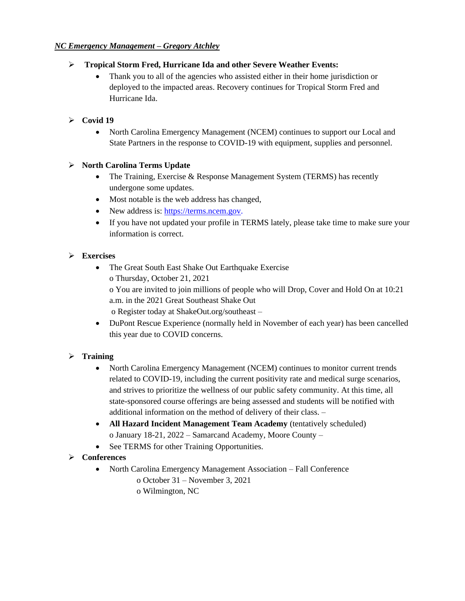## *NC Emergency Management – Gregory Atchley*

## **Tropical Storm Fred, Hurricane Ida and other Severe Weather Events:**

 Thank you to all of the agencies who assisted either in their home jurisdiction or deployed to the impacted areas. Recovery continues for Tropical Storm Fred and Hurricane Ida.

## $\triangleright$  Covid 19

• North Carolina Emergency Management (NCEM) continues to support our Local and State Partners in the response to COVID-19 with equipment, supplies and personnel.

## **North Carolina Terms Update**

- The Training, Exercise & Response Management System (TERMS) has recently undergone some updates.
- Most notable is the web address has changed,
- New address is: [https://terms.ncem.gov.](https://terms.ncem.gov/)
- If you have not updated your profile in TERMS lately, please take time to make sure your information is correct.

## **Exercises**

- The Great South East Shake Out Earthquake Exercise o Thursday, October 21, 2021 o You are invited to join millions of people who will Drop, Cover and Hold On at 10:21 a.m. in the 2021 Great Southeast Shake Out o Register today at ShakeOut.org/southeast –
- DuPont Rescue Experience (normally held in November of each year) has been cancelled this year due to COVID concerns.

## **Training**

- North Carolina Emergency Management (NCEM) continues to monitor current trends related to COVID-19, including the current positivity rate and medical surge scenarios, and strives to prioritize the wellness of our public safety community. At this time, all state-sponsored course offerings are being assessed and students will be notified with additional information on the method of delivery of their class. –
- **All Hazard Incident Management Team Academy** (tentatively scheduled) o January 18-21, 2022 – Samarcand Academy, Moore County –
- See TERMS for other Training Opportunities.

## **Conferences**

- North Carolina Emergency Management Association Fall Conference
	- o October 31 November 3, 2021
	- o Wilmington, NC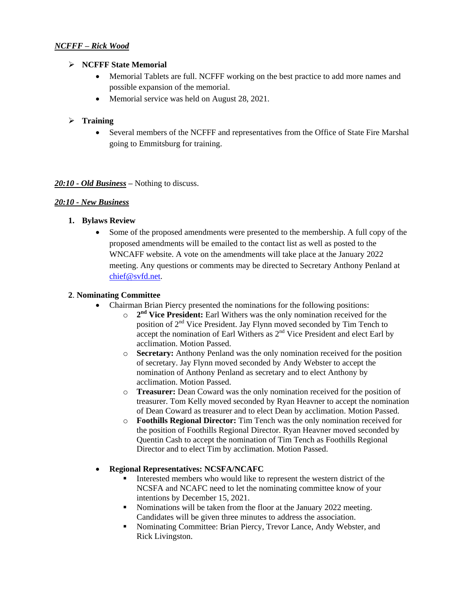## *NCFFF – Rick Wood*

#### **NCFFF State Memorial**

- Memorial Tablets are full. NCFFF working on the best practice to add more names and possible expansion of the memorial.
- Memorial service was held on August 28, 2021.

## **Training**

 Several members of the NCFFF and representatives from the Office of State Fire Marshal going to Emmitsburg for training.

## *20:10 - Old Business –* Nothing to discuss.

## *20:10 - New Business*

## **1. Bylaws Review**

 Some of the proposed amendments were presented to the membership. A full copy of the proposed amendments will be emailed to the contact list as well as posted to the WNCAFF website. A vote on the amendments will take place at the January 2022 meeting. Any questions or comments may be directed to Secretary Anthony Penland at [chief@svfd.net.](mailto:chief@svfd.net) 

#### **2**. **Nominating Committee**

- Chairman Brian Piercy presented the nominations for the following positions:
	- o **2 nd Vice President:** Earl Withers was the only nomination received for the position of  $2<sup>nd</sup>$  Vice President. Jay Flynn moved seconded by Tim Tench to accept the nomination of Earl Withers as  $2<sup>nd</sup>$  Vice President and elect Earl by acclimation. Motion Passed.
	- o **Secretary:** Anthony Penland was the only nomination received for the position of secretary. Jay Flynn moved seconded by Andy Webster to accept the nomination of Anthony Penland as secretary and to elect Anthony by acclimation. Motion Passed.
	- o **Treasurer:** Dean Coward was the only nomination received for the position of treasurer. Tom Kelly moved seconded by Ryan Heavner to accept the nomination of Dean Coward as treasurer and to elect Dean by acclimation. Motion Passed.
	- o **Foothills Regional Director:** Tim Tench was the only nomination received for the position of Foothills Regional Director. Ryan Heavner moved seconded by Quentin Cash to accept the nomination of Tim Tench as Foothills Regional Director and to elect Tim by acclimation. Motion Passed.

## **Regional Representatives: NCSFA/NCAFC**

- Interested members who would like to represent the western district of the NCSFA and NCAFC need to let the nominating committee know of your intentions by December 15, 2021.
- Nominations will be taken from the floor at the January 2022 meeting. Candidates will be given three minutes to address the association.
- Nominating Committee: Brian Piercy, Trevor Lance, Andy Webster, and Rick Livingston.